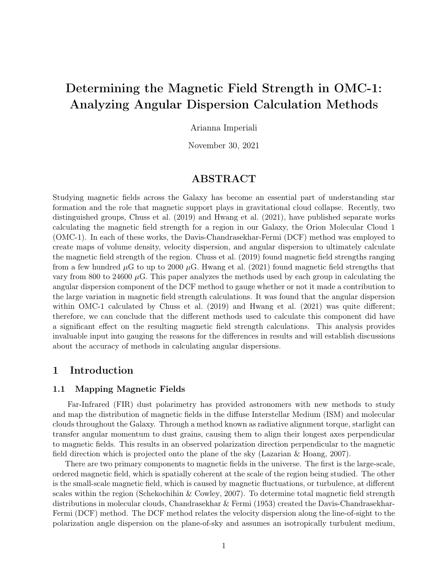# Determining the Magnetic Field Strength in OMC-1: Analyzing Angular Dispersion Calculation Methods

Arianna Imperiali

November 30, 2021

## ABSTRACT

Studying magnetic fields across the Galaxy has become an essential part of understanding star formation and the role that magnetic support plays in gravitational cloud collapse. Recently, two distinguished groups, Chuss et al. (2019) and Hwang et al. (2021), have published separate works calculating the magnetic field strength for a region in our Galaxy, the Orion Molecular Cloud 1 (OMC-1). In each of these works, the Davis-Chandrasekhar-Fermi (DCF) method was employed to create maps of volume density, velocity dispersion, and angular dispersion to ultimately calculate the magnetic field strength of the region. Chuss et al. (2019) found magnetic field strengths ranging from a few hundred  $\mu$ G to up to 2000  $\mu$ G. Hwang et al. (2021) found magnetic field strengths that vary from 800 to 24600  $\mu$ G. This paper analyzes the methods used by each group in calculating the angular dispersion component of the DCF method to gauge whether or not it made a contribution to the large variation in magnetic field strength calculations. It was found that the angular dispersion within OMC-1 calculated by Chuss et al. (2019) and Hwang et al. (2021) was quite different; therefore, we can conclude that the different methods used to calculate this component did have a significant effect on the resulting magnetic field strength calculations. This analysis provides invaluable input into gauging the reasons for the differences in results and will establish discussions about the accuracy of methods in calculating angular dispersions.

## 1 Introduction

#### 1.1 Mapping Magnetic Fields

Far-Infrared (FIR) dust polarimetry has provided astronomers with new methods to study and map the distribution of magnetic fields in the diffuse Interstellar Medium (ISM) and molecular clouds throughout the Galaxy. Through a method known as radiative alignment torque, starlight can transfer angular momentum to dust grains, causing them to align their longest axes perpendicular to magnetic fields. This results in an observed polarization direction perpendicular to the magnetic field direction which is projected onto the plane of the sky (Lazarian & Hoang, 2007).

There are two primary components to magnetic fields in the universe. The first is the large-scale, ordered magnetic field, which is spatially coherent at the scale of the region being studied. The other is the small-scale magnetic field, which is caused by magnetic fluctuations, or turbulence, at different scales within the region (Schekochihin & Cowley, 2007). To determine total magnetic field strength distributions in molecular clouds, Chandrasekhar & Fermi (1953) created the Davis-Chandrasekhar-Fermi (DCF) method. The DCF method relates the velocity dispersion along the line-of-sight to the polarization angle dispersion on the plane-of-sky and assumes an isotropically turbulent medium,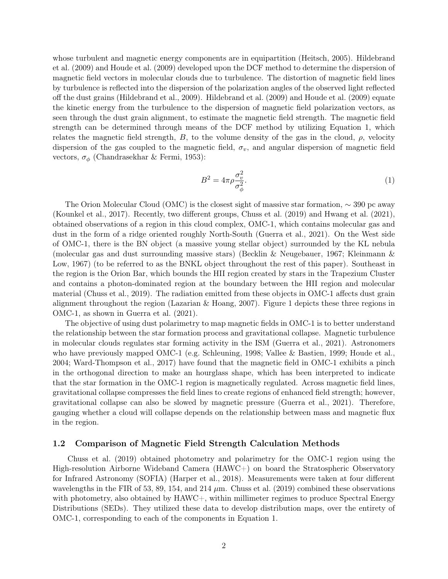whose turbulent and magnetic energy components are in equipartition (Heitsch, 2005). Hildebrand et al. (2009) and Houde et al. (2009) developed upon the DCF method to determine the dispersion of magnetic field vectors in molecular clouds due to turbulence. The distortion of magnetic field lines by turbulence is reflected into the dispersion of the polarization angles of the observed light reflected off the dust grains (Hildebrand et al., 2009). Hildebrand et al. (2009) and Houde et al. (2009) equate the kinetic energy from the turbulence to the dispersion of magnetic field polarization vectors, as seen through the dust grain alignment, to estimate the magnetic field strength. The magnetic field strength can be determined through means of the DCF method by utilizing Equation 1, which relates the magnetic field strength, B, to the volume density of the gas in the cloud,  $\rho$ , velocity dispersion of the gas coupled to the magnetic field,  $\sigma_v$ , and angular dispersion of magnetic field vectors,  $\sigma_{\phi}$  (Chandrasekhar & Fermi, 1953):

$$
B^2 = 4\pi \rho \frac{\sigma_v^2}{\sigma_\phi^2}.\tag{1}
$$

The Orion Molecular Cloud (OMC) is the closest sight of massive star formation,  $\sim$  390 pc away (Kounkel et al., 2017). Recently, two different groups, Chuss et al. (2019) and Hwang et al. (2021), obtained observations of a region in this cloud complex, OMC-1, which contains molecular gas and dust in the form of a ridge oriented roughly North-South (Guerra et al., 2021). On the West side of OMC-1, there is the BN object (a massive young stellar object) surrounded by the KL nebula (molecular gas and dust surrounding massive stars) (Becklin & Neugebauer, 1967; Kleinmann & Low, 1967) (to be referred to as the BNKL object throughout the rest of this paper). Southeast in the region is the Orion Bar, which bounds the HII region created by stars in the Trapezium Cluster and contains a photon-dominated region at the boundary between the HII region and molecular material (Chuss et al., 2019). The radiation emitted from these objects in OMC-1 affects dust grain alignment throughout the region (Lazarian & Hoang, 2007). Figure 1 depicts these three regions in OMC-1, as shown in Guerra et al. (2021).

The objective of using dust polarimetry to map magnetic fields in OMC-1 is to better understand the relationship between the star formation process and gravitational collapse. Magnetic turbulence in molecular clouds regulates star forming activity in the ISM (Guerra et al., 2021). Astronomers who have previously mapped OMC-1 (e.g. Schleuning, 1998; Vallee & Bastien, 1999; Houde et al., 2004; Ward-Thompson et al., 2017) have found that the magnetic field in OMC-1 exhibits a pinch in the orthogonal direction to make an hourglass shape, which has been interpreted to indicate that the star formation in the OMC-1 region is magnetically regulated. Across magnetic field lines, gravitational collapse compresses the field lines to create regions of enhanced field strength; however, gravitational collapse can also be slowed by magnetic pressure (Guerra et al., 2021). Therefore, gauging whether a cloud will collapse depends on the relationship between mass and magnetic flux in the region.

#### 1.2 Comparison of Magnetic Field Strength Calculation Methods

Chuss et al. (2019) obtained photometry and polarimetry for the OMC-1 region using the High-resolution Airborne Wideband Camera (HAWC+) on board the Stratospheric Observatory for Infrared Astronomy (SOFIA) (Harper et al., 2018). Measurements were taken at four different wavelengths in the FIR of 53, 89, 154, and 214  $\mu$ m. Chuss et al. (2019) combined these observations with photometry, also obtained by HAWC+, within millimeter regimes to produce Spectral Energy Distributions (SEDs). They utilized these data to develop distribution maps, over the entirety of OMC-1, corresponding to each of the components in Equation 1.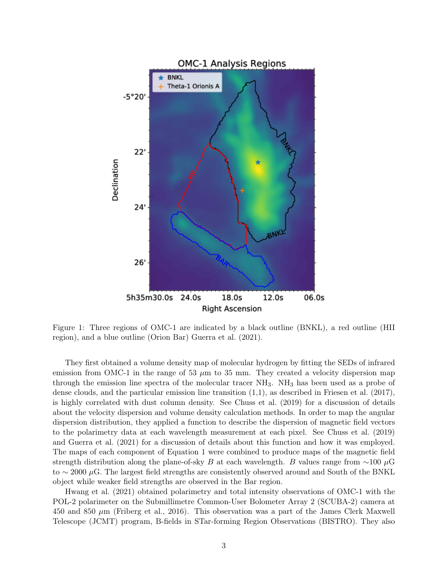

Figure 1: Three regions of OMC-1 are indicated by a black outline (BNKL), a red outline (HII region), and a blue outline (Orion Bar) Guerra et al. (2021).

They first obtained a volume density map of molecular hydrogen by fitting the SEDs of infrared emission from OMC-1 in the range of 53  $\mu$ m to 35 mm. They created a velocity dispersion map through the emission line spectra of the molecular tracer NH3. NH<sup>3</sup> has been used as a probe of dense clouds, and the particular emission line transition  $(1,1)$ , as described in Friesen et al.  $(2017)$ , is highly correlated with dust column density. See Chuss et al. (2019) for a discussion of details about the velocity dispersion and volume density calculation methods. In order to map the angular dispersion distribution, they applied a function to describe the dispersion of magnetic field vectors to the polarimetry data at each wavelength measurement at each pixel. See Chuss et al. (2019) and Guerra et al. (2021) for a discussion of details about this function and how it was employed. The maps of each component of Equation 1 were combined to produce maps of the magnetic field strength distribution along the plane-of-sky B at each wavelength. B values range from  $\sim$ 100 µG to  $\sim$  2000 µG. The largest field strengths are consistently observed around and South of the BNKL object while weaker field strengths are observed in the Bar region.

Hwang et al. (2021) obtained polarimetry and total intensity observations of OMC-1 with the POL-2 polarimeter on the Submillimetre Common-User Bolometer Array 2 (SCUBA-2) camera at 450 and 850  $\mu$ m (Friberg et al., 2016). This observation was a part of the James Clerk Maxwell Telescope (JCMT) program, B-fields in STar-forming Region Observations (BISTRO). They also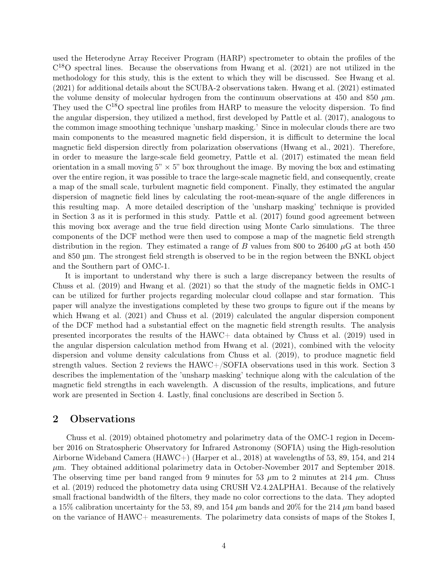used the Heterodyne Array Receiver Program (HARP) spectrometer to obtain the profiles of the C <sup>18</sup>O spectral lines. Because the observations from Hwang et al. (2021) are not utilized in the methodology for this study, this is the extent to which they will be discussed. See Hwang et al. (2021) for additional details about the SCUBA-2 observations taken. Hwang et al. (2021) estimated the volume density of molecular hydrogen from the continuum observations at 450 and 850  $\mu$ m. They used the  $C^{18}O$  spectral line profiles from HARP to measure the velocity dispersion. To find the angular dispersion, they utilized a method, first developed by Pattle et al. (2017), analogous to the common image smoothing technique 'unsharp masking.' Since in molecular clouds there are two main components to the measured magnetic field dispersion, it is difficult to determine the local magnetic field dispersion directly from polarization observations (Hwang et al., 2021). Therefore, in order to measure the large-scale field geometry, Pattle et al. (2017) estimated the mean field orientation in a small moving  $5" \times 5"$  box throughout the image. By moving the box and estimating over the entire region, it was possible to trace the large-scale magnetic field, and consequently, create a map of the small scale, turbulent magnetic field component. Finally, they estimated the angular dispersion of magnetic field lines by calculating the root-mean-square of the angle differences in this resulting map. A more detailed description of the 'unsharp masking' technique is provided in Section 3 as it is performed in this study. Pattle et al. (2017) found good agreement between this moving box average and the true field direction using Monte Carlo simulations. The three components of the DCF method were then used to compose a map of the magnetic field strength distribution in the region. They estimated a range of B values from 800 to 26400  $\mu$ G at both 450 and 850 µm. The strongest field strength is observed to be in the region between the BNKL object and the Southern part of OMC-1.

It is important to understand why there is such a large discrepancy between the results of Chuss et al. (2019) and Hwang et al. (2021) so that the study of the magnetic fields in OMC-1 can be utilized for further projects regarding molecular cloud collapse and star formation. This paper will analyze the investigations completed by these two groups to figure out if the means by which Hwang et al. (2021) and Chuss et al. (2019) calculated the angular dispersion component of the DCF method had a substantial effect on the magnetic field strength results. The analysis presented incorporates the results of the HAWC+ data obtained by Chuss et al. (2019) used in the angular dispersion calculation method from Hwang et al. (2021), combined with the velocity dispersion and volume density calculations from Chuss et al. (2019), to produce magnetic field strength values. Section 2 reviews the HAWC+/SOFIA observations used in this work. Section 3 describes the implementation of the 'unsharp masking' technique along with the calculation of the magnetic field strengths in each wavelength. A discussion of the results, implications, and future work are presented in Section 4. Lastly, final conclusions are described in Section 5.

## 2 Observations

Chuss et al. (2019) obtained photometry and polarimetry data of the OMC-1 region in December 2016 on Stratospheric Observatory for Infrared Astronomy (SOFIA) using the High-resolution Airborne Wideband Camera (HAWC+) (Harper et al., 2018) at wavelengths of 53, 89, 154, and 214  $\mu$ m. They obtained additional polarimetry data in October-November 2017 and September 2018. The observing time per band ranged from 9 minutes for 53  $\mu$ m to 2 minutes at 214  $\mu$ m. Chuss et al. (2019) reduced the photometry data using CRUSH V2.4.2ALPHA1. Because of the relatively small fractional bandwidth of the filters, they made no color corrections to the data. They adopted a 15% calibration uncertainty for the 53, 89, and 154  $\mu$ m bands and 20% for the 214  $\mu$ m band based on the variance of HAWC+ measurements. The polarimetry data consists of maps of the Stokes I,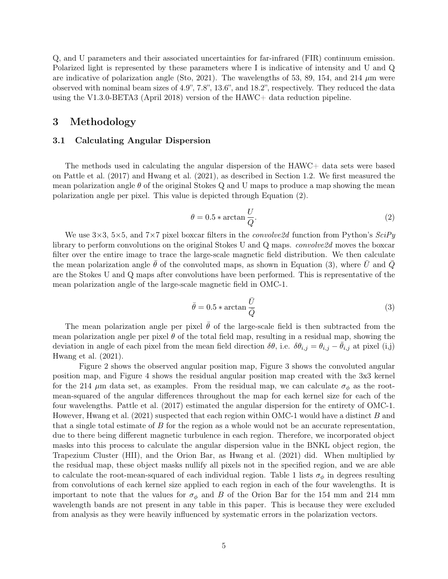Q, and U parameters and their associated uncertainties for far-infrared (FIR) continuum emission. Polarized light is represented by these parameters where I is indicative of intensity and U and Q are indicative of polarization angle (Sto, 2021). The wavelengths of 53, 89, 154, and 214  $\mu$ m were observed with nominal beam sizes of 4.9", 7.8", 13.6", and 18.2", respectively. They reduced the data using the V1.3.0-BETA3 (April 2018) version of the HAWC+ data reduction pipeline.

## 3 Methodology

#### 3.1 Calculating Angular Dispersion

The methods used in calculating the angular dispersion of the HAWC+ data sets were based on Pattle et al. (2017) and Hwang et al. (2021), as described in Section 1.2. We first measured the mean polarization angle  $\theta$  of the original Stokes Q and U maps to produce a map showing the mean polarization angle per pixel. This value is depicted through Equation (2).

$$
\theta = 0.5 * \arctan \frac{U}{Q}.
$$
\n(2)

We use  $3\times3$ ,  $5\times5$ , and  $7\times7$  pixel boxcar filters in the *convolve2d* function from Python's  $SciPy$ library to perform convolutions on the original Stokes U and Q maps. *convolve2d* moves the boxcar filter over the entire image to trace the large-scale magnetic field distribution. We then calculate the mean polarization angle  $\bar{\theta}$  of the convoluted maps, as shown in Equation (3), where  $\bar{U}$  and  $\bar{Q}$ are the Stokes U and Q maps after convolutions have been performed. This is representative of the mean polarization angle of the large-scale magnetic field in OMC-1.

$$
\bar{\theta} = 0.5 * \arctan \frac{\bar{U}}{\bar{Q}}
$$
 (3)

The mean polarization angle per pixel  $\bar{\theta}$  of the large-scale field is then subtracted from the mean polarization angle per pixel  $\theta$  of the total field map, resulting in a residual map, showing the deviation in angle of each pixel from the mean field direction  $\delta\theta$ , i.e.  $\delta\theta_{i,j} = \theta_{i,j} - \bar{\theta}_{i,j}$  at pixel (i,j) Hwang et al. (2021).

Figure 2 shows the observed angular position map, Figure 3 shows the convoluted angular position map, and Figure 4 shows the residual angular position map created with the 3x3 kernel for the 214  $\mu$ m data set, as examples. From the residual map, we can calculate  $\sigma_{\phi}$  as the rootmean-squared of the angular differences throughout the map for each kernel size for each of the four wavelengths. Pattle et al. (2017) estimated the angular dispersion for the entirety of OMC-1. However, Hwang et al.  $(2021)$  suspected that each region within OMC-1 would have a distinct B and that a single total estimate of  $B$  for the region as a whole would not be an accurate representation, due to there being different magnetic turbulence in each region. Therefore, we incorporated object masks into this process to calculate the angular dispersion value in the BNKL object region, the Trapezium Cluster (HII), and the Orion Bar, as Hwang et al. (2021) did. When multiplied by the residual map, these object masks nullify all pixels not in the specified region, and we are able to calculate the root-mean-squared of each individual region. Table 1 lists  $\sigma_{\phi}$  in degrees resulting from convolutions of each kernel size applied to each region in each of the four wavelengths. It is important to note that the values for  $\sigma_{\phi}$  and B of the Orion Bar for the 154 mm and 214 mm wavelength bands are not present in any table in this paper. This is because they were excluded from analysis as they were heavily influenced by systematic errors in the polarization vectors.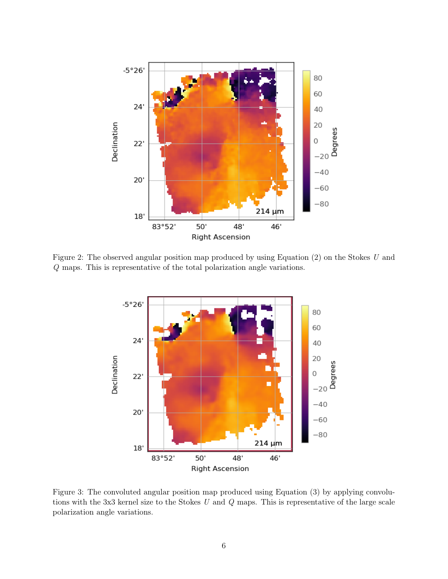

Figure 2: The observed angular position map produced by using Equation (2) on the Stokes U and Q maps. This is representative of the total polarization angle variations.



Figure 3: The convoluted angular position map produced using Equation (3) by applying convolutions with the 3x3 kernel size to the Stokes  $U$  and  $Q$  maps. This is representative of the large scale polarization angle variations.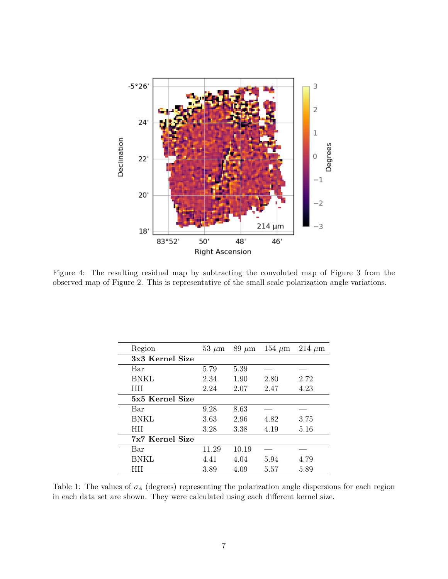

Figure 4: The resulting residual map by subtracting the convoluted map of Figure 3 from the observed map of Figure 2. This is representative of the small scale polarization angle variations.

| Region          | $53 \mu m$ | $89~\mu m$ | 154 $\mu$ m | $214 \mu m$ |
|-----------------|------------|------------|-------------|-------------|
| 3x3 Kernel Size |            |            |             |             |
| Bar             | 5.79       | 5.39       |             |             |
| <b>BNKL</b>     | 2.34       | 1.90       | 2.80        | 2.72        |
| <b>HII</b>      | 2.24       | 2.07       | 2.47        | 4.23        |
| 5x5 Kernel Size |            |            |             |             |
| Bar             | 9.28       | 8.63       |             |             |
| <b>BNKL</b>     | 3.63       | 2.96       | 4.82        | 3.75        |
| <b>HII</b>      | 3.28       | 3.38       | 4.19        | 5.16        |
| 7x7 Kernel Size |            |            |             |             |
| Bar             | 11.29      | 10.19      |             |             |
| <b>BNKL</b>     | 4.41       | 4.04       | 5.94        | 4.79        |
|                 | 3.89       | 4.09       | 5.57        | 5.89        |

Table 1: The values of  $\sigma_{\phi}$  (degrees) representing the polarization angle dispersions for each region in each data set are shown. They were calculated using each different kernel size.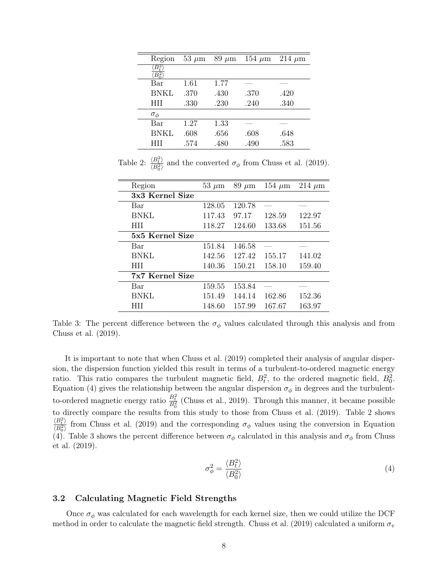| Region               | $53 \mu m$ | $89 \mu m$ | 154 $\mu$ m | $214 \mu m$ |
|----------------------|------------|------------|-------------|-------------|
| $ B_t^2 $<br>$B^2_0$ |            |            |             |             |
| Bar                  | 1.61       | 1.77       |             |             |
| BNKL                 | .370       | .430       | .370        | .420        |
| HII                  | .330       | .230       | .240        | .340        |
| $\sigma_{\phi}$      |            |            |             |             |
| Bar                  | 1.27       | 1.33       |             |             |
| <b>BNKL</b>          | .608       | .656       | .608        | .648        |
| HП                   | .574       | .480       | .490        | .583        |

Table 2:  $\frac{\langle B_t^2 \rangle}{\langle B_t^2 \rangle}$  $\frac{\Delta E_t}{\langle B_0^2 \rangle}$  and the converted  $\sigma_{\phi}$  from Chuss et al. (2019).

| Region          | $53 \mu m$ | $89 \mu m$ | 154 $\mu$ m | $214 \mu m$ |
|-----------------|------------|------------|-------------|-------------|
| 3x3 Kernel Size |            |            |             |             |
| Bar             | 128.05     | 120.78     |             |             |
| <b>BNKL</b>     | 117.43     | 97.17      | 128.59      | 122.97      |
| <b>HII</b>      | 118.27     | 124.60     | 133.68      | 151.56      |
| 5x5 Kernel Size |            |            |             |             |
| Bar             | 151.84     | 146.58     |             |             |
| <b>BNKL</b>     | 142.56     | 127.42     | 155.17      | 141.02      |
| <b>HII</b>      | 140.36     | 150.21     | 158.10      | 159.40      |
| 7x7 Kernel Size |            |            |             |             |
| Bar             | 159.55     | 153.84     |             |             |
| <b>BNKL</b>     | 151.49     | 144.14     | 162.86      | 152.36      |
| <b>HII</b>      | 148.60     | 157.99     | 167.67      | 163.97      |

Table 3: The percent difference between the  $\sigma_{\phi}$  values calculated through this analysis and from Chuss et al. (2019).

It is important to note that when Chuss et al. (2019) completed their analysis of angular dispersion, the dispersion function yielded this result in terms of a turbulent-to-ordered magnetic energy ratio. This ratio compares the turbulent magnetic field,  $B_t^2$ , to the ordered magnetic field,  $B_0^2$ . Equation (4) gives the relationship between the angular dispersion  $\sigma_{\phi}$  in degrees and the turbulentto-ordered magnetic energy ratio  $\frac{B_t^2}{B_0^2}$  (Chuss et al., 2019). Through this manner, it became possible to directly compare the results from this study to those from Chuss et al. (2019). Table 2 shows  $\langle B_t^2 \rangle$  $\frac{\sqrt{B_E^2}}{\sqrt{B_0^2}}$  from Chuss et al. (2019) and the corresponding  $\sigma_{\phi}$  values using the conversion in Equation (4). Table 3 shows the percent difference between  $\sigma_{\phi}$  calculated in this analysis and  $\sigma_{\phi}$  from Chuss et al. (2019).

$$
\sigma_{\phi}^2 = \frac{\langle B_t^2 \rangle}{\langle B_0^2 \rangle} \tag{4}
$$

#### 3.2 Calculating Magnetic Field Strengths

Once  $\sigma_{\phi}$  was calculated for each wavelength for each kernel size, then we could utilize the DCF method in order to calculate the magnetic field strength. Chuss et al. (2019) calculated a uniform  $\sigma_v$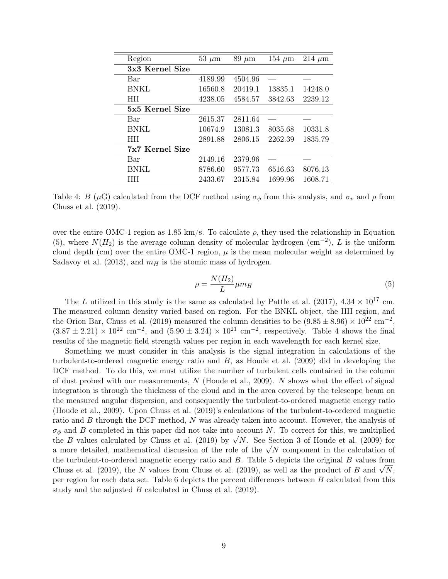| Region          | $53 \mu m$ | $89 \ \mu m$ | $154 \ \mu m$ | $214 \mu m$ |
|-----------------|------------|--------------|---------------|-------------|
| 3x3 Kernel Size |            |              |               |             |
| Bar             | 4189.99    | 4504.96      |               |             |
| <b>BNKL</b>     | 16560.8    | 20419.1      | 13835.1       | 14248.0     |
| <b>HII</b>      | 4238.05    | 4584.57      | 3842.63       | 2239.12     |
| 5x5 Kernel Size |            |              |               |             |
| Bar             | 2615.37    | 2811.64      |               |             |
| <b>BNKL</b>     | 10674.9    | 13081.3      | 8035.68       | 10331.8     |
| <b>HII</b>      | 2891.88    | 2806.15      | 2262.39       | 1835.79     |
| 7x7 Kernel Size |            |              |               |             |
| Bar             | 2149.16    | 2379.96      |               |             |
| <b>BNKL</b>     | 8786.60    | 9577.73      | 6516.63       | 8076.13     |
| HП              | 2433.67    | 2315.84      | 1699.96       | 1608.71     |

Table 4: B ( $\mu$ G) calculated from the DCF method using  $\sigma_{\phi}$  from this analysis, and  $\sigma_v$  and  $\rho$  from Chuss et al. (2019).

over the entire OMC-1 region as 1.85 km/s. To calculate  $\rho$ , they used the relationship in Equation (5), where  $N(H_2)$  is the average column density of molecular hydrogen (cm<sup>-2</sup>), L is the uniform cloud depth (cm) over the entire OMC-1 region,  $\mu$  is the mean molecular weight as determined by Sadavoy et al. (2013), and  $m_H$  is the atomic mass of hydrogen.

$$
\rho = \frac{N(H_2)}{L} \mu m_H \tag{5}
$$

The L utilized in this study is the same as calculated by Pattle et al. (2017),  $4.34 \times 10^{17}$  cm. The measured column density varied based on region. For the BNKL object, the HII region, and the Orion Bar, Chuss et al. (2019) measured the column densities to be  $(9.85 \pm 8.96) \times 10^{22}$  cm<sup>-2</sup>,  $(3.87 \pm 2.21) \times 10^{22}$  cm<sup>-2</sup>, and  $(5.90 \pm 3.24) \times 10^{21}$  cm<sup>-2</sup>, respectively. Table 4 shows the final results of the magnetic field strength values per region in each wavelength for each kernel size.

Something we must consider in this analysis is the signal integration in calculations of the turbulent-to-ordered magnetic energy ratio and  $B$ , as Houde et al. (2009) did in developing the DCF method. To do this, we must utilize the number of turbulent cells contained in the column of dust probed with our measurements,  $N$  (Houde et al., 2009).  $N$  shows what the effect of signal integration is through the thickness of the cloud and in the area covered by the telescope beam on the measured angular dispersion, and consequently the turbulent-to-ordered magnetic energy ratio (Houde et al., 2009). Upon Chuss et al. (2019)'s calculations of the turbulent-to-ordered magnetic ratio and B through the DCF method, N was already taken into account. However, the analysis of  $\sigma_{\phi}$  and B completed in this paper did not take into account N. To correct for this, we multiplied  $\sigma_{\phi}$  and B completed in this paper did not take into account N. To correct for this, we multiplied<br>the B values calculated by Chuss et al. (2019) by  $\sqrt{N}$ . See Section 3 of Houde et al. (2009) for the *B* values calculated by Chuss et al. (2019) by  $\sqrt{N}$ . See Section 3 or Houde et al. (2009) for a more detailed, mathematical discussion of the role of the  $\sqrt{N}$  component in the calculation of the turbulent-to-ordered magnetic energy ratio and  $B$ . Table 5 depicts the original  $B$  values from The turbulent-to-ordered magnetic energy ratio and B. Table 5 depicts the original B values from<br>Chuss et al. (2019), the N values from Chuss et al. (2019), as well as the product of B and  $\sqrt{N}$ , per region for each data set. Table 6 depicts the percent differences between B calculated from this study and the adjusted B calculated in Chuss et al. (2019).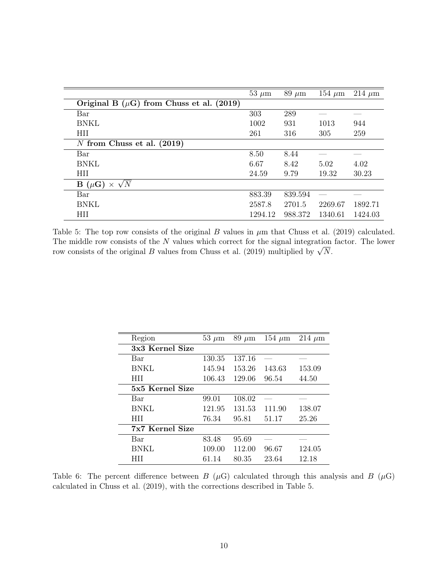|                                               | $53 \mu m$ | $89 \ \mu m$ | $154 \ \mu m$ | $214 \mu m$ |
|-----------------------------------------------|------------|--------------|---------------|-------------|
| Original B $(\mu G)$ from Chuss et al. (2019) |            |              |               |             |
| Bar                                           | 303        | 289          |               |             |
| <b>BNKL</b>                                   | 1002       | 931          | 1013          | 944         |
| HII                                           | 261        | 316          | 305           | 259         |
| N from Chuss et al. $(2019)$                  |            |              |               |             |
| Bar                                           | 8.50       | 8.44         |               |             |
| <b>BNKL</b>                                   | 6.67       | 8.42         | 5.02          | 4.02        |
| HII                                           | 24.59      | 9.79         | 19.32         | 30.23       |
| $\mathbf{B}(\mu\mathbf{G})\times\sqrt{N}$     |            |              |               |             |
| Bar                                           | 883.39     | 839.594      |               |             |
| <b>BNKL</b>                                   | 2587.8     | 2701.5       | 2269.67       | 1892.71     |
| <b>HII</b>                                    | 1294.12    | 988.372      | 1340.61       | 1424.03     |

Table 5: The top row consists of the original B values in  $\mu$ m that Chuss et al. (2019) calculated. The middle row consists of the N values which correct for the signal integration factor. The lower The middle row consists of the *N* values which correct for the signal integration row consists of the original *B* values from Chuss et al. (2019) multiplied by  $\sqrt{N}$ .

| Region          | $53 \mu m$ | $89 \mu m$ | 154 $\mu$ m | $214 \mu m$ |
|-----------------|------------|------------|-------------|-------------|
| 3x3 Kernel Size |            |            |             |             |
| Bar             | 130.35     | 137.16     |             |             |
| <b>BNKL</b>     | 145.94     | 153.26     | 143.63      | 153.09      |
| <b>HII</b>      | 106.43     | 129.06     | 96.54       | 44.50       |
| 5x5 Kernel Size |            |            |             |             |
| Bar             | 99.01      | 108.02     |             |             |
| <b>BNKL</b>     | 121.95     | 131.53     | 111.90      | 138.07      |
| <b>HII</b>      | 76.34      | 95.81      | 51.17       | 25.26       |
| 7x7 Kernel Size |            |            |             |             |
| Bar             | 83.48      | 95.69      |             |             |
| <b>BNKL</b>     | 109.00     | 112.00     | 96.67       | 124.05      |
| HП              | 61.14      | 80.35      | 23.64       | 12.18       |

Table 6: The percent difference between B  $(\mu G)$  calculated through this analysis and B  $(\mu G)$ calculated in Chuss et al. (2019), with the corrections described in Table 5.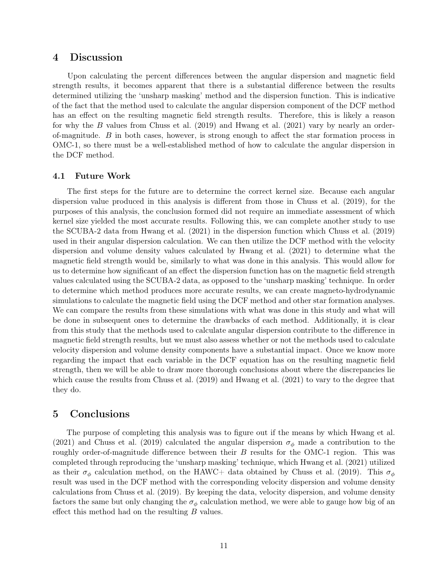## 4 Discussion

Upon calculating the percent differences between the angular dispersion and magnetic field strength results, it becomes apparent that there is a substantial difference between the results determined utilizing the 'unsharp masking' method and the dispersion function. This is indicative of the fact that the method used to calculate the angular dispersion component of the DCF method has an effect on the resulting magnetic field strength results. Therefore, this is likely a reason for why the B values from Chuss et al.  $(2019)$  and Hwang et al.  $(2021)$  vary by nearly an orderof-magnitude. B in both cases, however, is strong enough to affect the star formation process in OMC-1, so there must be a well-established method of how to calculate the angular dispersion in the DCF method.

#### 4.1 Future Work

The first steps for the future are to determine the correct kernel size. Because each angular dispersion value produced in this analysis is different from those in Chuss et al. (2019), for the purposes of this analysis, the conclusion formed did not require an immediate assessment of which kernel size yielded the most accurate results. Following this, we can complete another study to use the SCUBA-2 data from Hwang et al. (2021) in the dispersion function which Chuss et al. (2019) used in their angular dispersion calculation. We can then utilize the DCF method with the velocity dispersion and volume density values calculated by Hwang et al. (2021) to determine what the magnetic field strength would be, similarly to what was done in this analysis. This would allow for us to determine how significant of an effect the dispersion function has on the magnetic field strength values calculated using the SCUBA-2 data, as opposed to the 'unsharp masking' technique. In order to determine which method produces more accurate results, we can create magneto-hydrodynamic simulations to calculate the magnetic field using the DCF method and other star formation analyses. We can compare the results from these simulations with what was done in this study and what will be done in subsequent ones to determine the drawbacks of each method. Additionally, it is clear from this study that the methods used to calculate angular dispersion contribute to the difference in magnetic field strength results, but we must also assess whether or not the methods used to calculate velocity dispersion and volume density components have a substantial impact. Once we know more regarding the impact that each variable in the DCF equation has on the resulting magnetic field strength, then we will be able to draw more thorough conclusions about where the discrepancies lie which cause the results from Chuss et al. (2019) and Hwang et al. (2021) to vary to the degree that they do.

## 5 Conclusions

The purpose of completing this analysis was to figure out if the means by which Hwang et al. (2021) and Chuss et al. (2019) calculated the angular dispersion  $\sigma_{\phi}$  made a contribution to the roughly order-of-magnitude difference between their  $B$  results for the OMC-1 region. This was completed through reproducing the 'unsharp masking' technique, which Hwang et al. (2021) utilized as their  $\sigma_{\phi}$  calculation method, on the HAWC+ data obtained by Chuss et al. (2019). This  $\sigma_{\phi}$ result was used in the DCF method with the corresponding velocity dispersion and volume density calculations from Chuss et al. (2019). By keeping the data, velocity dispersion, and volume density factors the same but only changing the  $\sigma_{\phi}$  calculation method, we were able to gauge how big of an effect this method had on the resulting  $B$  values.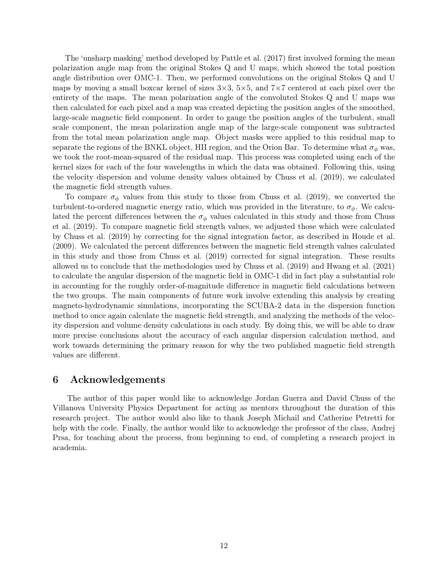The 'unsharp masking' method developed by Pattle et al. (2017) first involved forming the mean polarization angle map from the original Stokes Q and U maps, which showed the total position angle distribution over OMC-1. Then, we performed convolutions on the original Stokes Q and U maps by moving a small boxcar kernel of sizes  $3\times3$ ,  $5\times5$ , and  $7\times7$  centered at each pixel over the entirety of the maps. The mean polarization angle of the convoluted Stokes Q and U maps was then calculated for each pixel and a map was created depicting the position angles of the smoothed, large-scale magnetic field component. In order to gauge the position angles of the turbulent, small scale component, the mean polarization angle map of the large-scale component was subtracted from the total mean polarization angle map. Object masks were applied to this residual map to separate the regions of the BNKL object, HII region, and the Orion Bar. To determine what  $\sigma_{\phi}$  was, we took the root-mean-squared of the residual map. This process was completed using each of the kernel sizes for each of the four wavelengths in which the data was obtained. Following this, using the velocity dispersion and volume density values obtained by Chuss et al. (2019), we calculated the magnetic field strength values.

To compare  $\sigma_{\phi}$  values from this study to those from Chuss et al. (2019), we converted the turbulent-to-ordered magnetic energy ratio, which was provided in the literature, to  $\sigma_{\phi}$ . We calculated the percent differences between the  $\sigma_{\phi}$  values calculated in this study and those from Chuss et al. (2019). To compare magnetic field strength values, we adjusted those which were calculated by Chuss et al. (2019) by correcting for the signal integration factor, as described in Houde et al. (2009). We calculated the percent differences between the magnetic field strength values calculated in this study and those from Chuss et al. (2019) corrected for signal integration. These results allowed us to conclude that the methodologies used by Chuss et al. (2019) and Hwang et al. (2021) to calculate the angular dispersion of the magnetic field in OMC-1 did in fact play a substantial role in accounting for the roughly order-of-magnitude difference in magnetic field calculations between the two groups. The main components of future work involve extending this analysis by creating magneto-hydrodynamic simulations, incorporating the SCUBA-2 data in the dispersion function method to once again calculate the magnetic field strength, and analyzing the methods of the velocity dispersion and volume density calculations in each study. By doing this, we will be able to draw more precise conclusions about the accuracy of each angular dispersion calculation method, and work towards determining the primary reason for why the two published magnetic field strength values are different.

## 6 Acknowledgements

The author of this paper would like to acknowledge Jordan Guerra and David Chuss of the Villanova University Physics Department for acting as mentors throughout the duration of this research project. The author would also like to thank Joseph Michail and Catherine Petretti for help with the code. Finally, the author would like to acknowledge the professor of the class, Andrej Prsa, for teaching about the process, from beginning to end, of completing a research project in academia.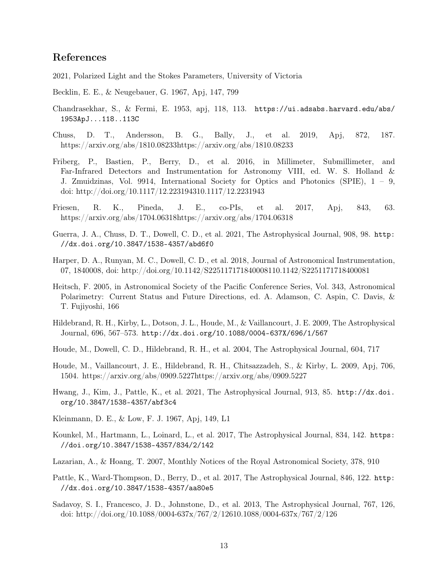# References

2021, Polarized Light and the Stokes Parameters, University of Victoria

Becklin, E. E., & Neugebauer, G. 1967, Apj, 147, 799

- Chandrasekhar, S., & Fermi, E. 1953, apj, 118, 113. https://ui.adsabs.harvard.edu/abs/ 1953ApJ...118..113C
- Chuss, D. T., Andersson, B. G., Bally, J., et al. 2019, Apj, 872, 187. https://arxiv.org/abs/1810.08233https://arxiv.org/abs/1810.08233
- Friberg, P., Bastien, P., Berry, D., et al. 2016, in Millimeter, Submillimeter, and Far-Infrared Detectors and Instrumentation for Astronomy VIII, ed. W. S. Holland & J. Zmuidzinas, Vol. 9914, International Society for Optics and Photonics (SPIE), 1 – 9, doi: http://doi.org/10.1117/12.223194310.1117/12.2231943
- Friesen, R. K., Pineda, J. E., co-PIs, et al. 2017, Apj, 843, 63. https://arxiv.org/abs/1704.06318https://arxiv.org/abs/1704.06318
- Guerra, J. A., Chuss, D. T., Dowell, C. D., et al. 2021, The Astrophysical Journal, 908, 98. http: //dx.doi.org/10.3847/1538-4357/abd6f0
- Harper, D. A., Runyan, M. C., Dowell, C. D., et al. 2018, Journal of Astronomical Instrumentation, 07, 1840008, doi: http://doi.org/10.1142/S225117171840008110.1142/S2251171718400081
- Heitsch, F. 2005, in Astronomical Society of the Pacific Conference Series, Vol. 343, Astronomical Polarimetry: Current Status and Future Directions, ed. A. Adamson, C. Aspin, C. Davis, & T. Fujiyoshi, 166
- Hildebrand, R. H., Kirby, L., Dotson, J. L., Houde, M., & Vaillancourt, J. E. 2009, The Astrophysical Journal, 696, 567–573. http://dx.doi.org/10.1088/0004-637X/696/1/567
- Houde, M., Dowell, C. D., Hildebrand, R. H., et al. 2004, The Astrophysical Journal, 604, 717
- Houde, M., Vaillancourt, J. E., Hildebrand, R. H., Chitsazzadeh, S., & Kirby, L. 2009, Apj, 706, 1504. https://arxiv.org/abs/0909.5227https://arxiv.org/abs/0909.5227
- Hwang, J., Kim, J., Pattle, K., et al. 2021, The Astrophysical Journal, 913, 85. http://dx.doi. org/10.3847/1538-4357/abf3c4
- Kleinmann, D. E., & Low, F. J. 1967, Apj, 149, L1
- Kounkel, M., Hartmann, L., Loinard, L., et al. 2017, The Astrophysical Journal, 834, 142. https: //doi.org/10.3847/1538-4357/834/2/142
- Lazarian, A., & Hoang, T. 2007, Monthly Notices of the Royal Astronomical Society, 378, 910
- Pattle, K., Ward-Thompson, D., Berry, D., et al. 2017, The Astrophysical Journal, 846, 122. http: //dx.doi.org/10.3847/1538-4357/aa80e5
- Sadavoy, S. I., Francesco, J. D., Johnstone, D., et al. 2013, The Astrophysical Journal, 767, 126, doi: http://doi.org/10.1088/0004-637x/767/2/12610.1088/0004-637x/767/2/126